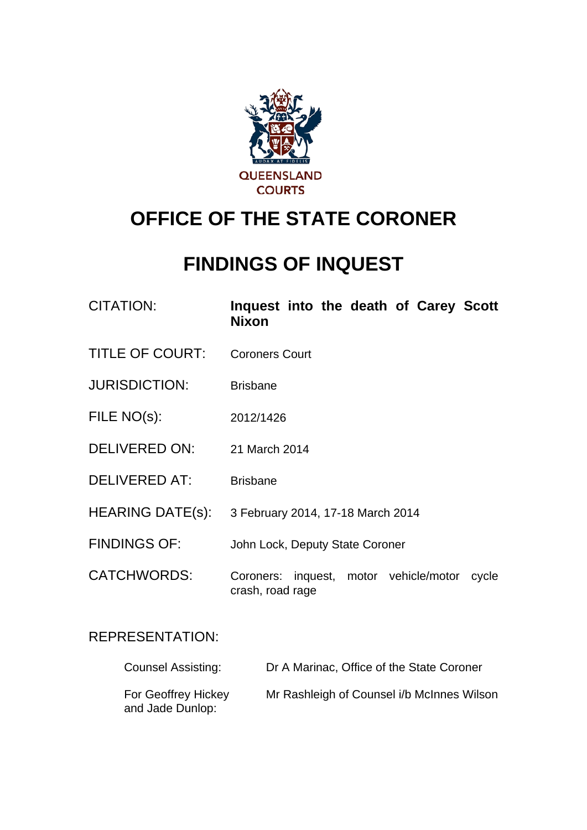

# **OFFICE OF THE STATE CORONER**

# **FINDINGS OF INQUEST**

| <b>CITATION:</b>        | Inquest into the death of Carey Scott<br><b>Nixon</b>               |
|-------------------------|---------------------------------------------------------------------|
| <b>TITLE OF COURT:</b>  | <b>Coroners Court</b>                                               |
| <b>JURISDICTION:</b>    | <b>Brisbane</b>                                                     |
| FILE NO(s):             | 2012/1426                                                           |
| <b>DELIVERED ON:</b>    | 21 March 2014                                                       |
| <b>DELIVERED AT:</b>    | <b>Brisbane</b>                                                     |
| <b>HEARING DATE(s):</b> | 3 February 2014, 17-18 March 2014                                   |
| <b>FINDINGS OF:</b>     | John Lock, Deputy State Coroner                                     |
| <b>CATCHWORDS:</b>      | Coroners: inquest, motor vehicle/motor<br>cycle<br>crash, road rage |
|                         |                                                                     |

# REPRESENTATION:

| <b>Counsel Assisting:</b>               | Dr A Marinac, Office of the State Coroner  |
|-----------------------------------------|--------------------------------------------|
| For Geoffrey Hickey<br>and Jade Dunlop: | Mr Rashleigh of Counsel i/b McInnes Wilson |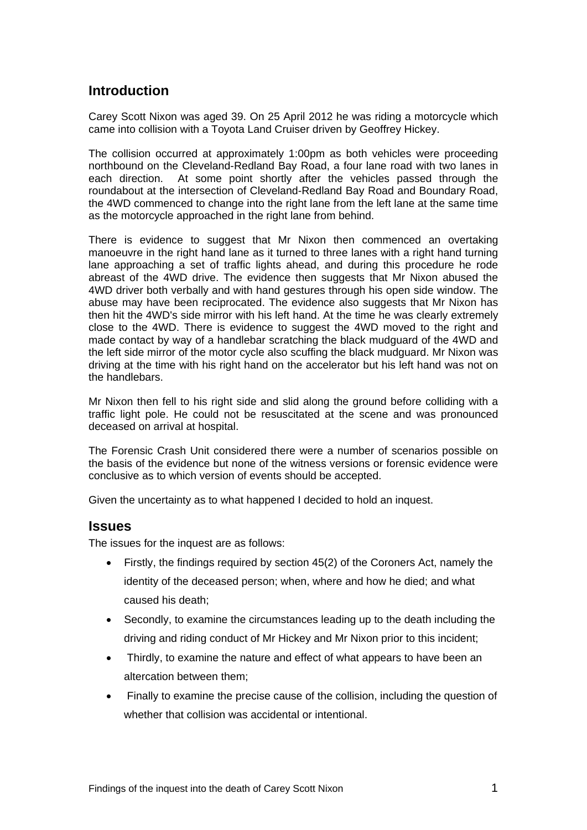## **Introduction**

Carey Scott Nixon was aged 39. On 25 April 2012 he was riding a motorcycle which came into collision with a Toyota Land Cruiser driven by Geoffrey Hickey.

The collision occurred at approximately 1:00pm as both vehicles were proceeding northbound on the Cleveland-Redland Bay Road, a four lane road with two lanes in each direction. At some point shortly after the vehicles passed through the roundabout at the intersection of Cleveland-Redland Bay Road and Boundary Road, the 4WD commenced to change into the right lane from the left lane at the same time as the motorcycle approached in the right lane from behind.

There is evidence to suggest that Mr Nixon then commenced an overtaking manoeuvre in the right hand lane as it turned to three lanes with a right hand turning lane approaching a set of traffic lights ahead, and during this procedure he rode abreast of the 4WD drive. The evidence then suggests that Mr Nixon abused the 4WD driver both verbally and with hand gestures through his open side window. The abuse may have been reciprocated. The evidence also suggests that Mr Nixon has then hit the 4WD's side mirror with his left hand. At the time he was clearly extremely close to the 4WD. There is evidence to suggest the 4WD moved to the right and made contact by way of a handlebar scratching the black mudguard of the 4WD and the left side mirror of the motor cycle also scuffing the black mudguard. Mr Nixon was driving at the time with his right hand on the accelerator but his left hand was not on the handlebars.

Mr Nixon then fell to his right side and slid along the ground before colliding with a traffic light pole. He could not be resuscitated at the scene and was pronounced deceased on arrival at hospital.

The Forensic Crash Unit considered there were a number of scenarios possible on the basis of the evidence but none of the witness versions or forensic evidence were conclusive as to which version of events should be accepted.

Given the uncertainty as to what happened I decided to hold an inquest.

#### **Issues**

The issues for the inquest are as follows:

- Firstly, the findings required by section 45(2) of the Coroners Act, namely the identity of the deceased person; when, where and how he died; and what caused his death;
- Secondly, to examine the circumstances leading up to the death including the driving and riding conduct of Mr Hickey and Mr Nixon prior to this incident;
- Thirdly, to examine the nature and effect of what appears to have been an altercation between them;
- Finally to examine the precise cause of the collision, including the question of whether that collision was accidental or intentional.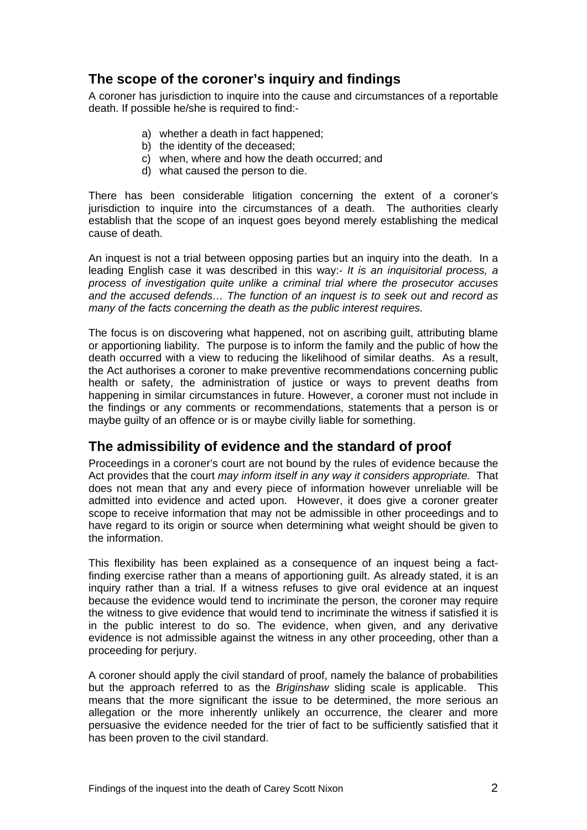## **The scope of the coroner's inquiry and findings**

A coroner has jurisdiction to inquire into the cause and circumstances of a reportable death. If possible he/she is required to find:-

- a) whether a death in fact happened;
- b) the identity of the deceased;
- c) when, where and how the death occurred; and
- d) what caused the person to die.

There has been considerable litigation concerning the extent of a coroner's jurisdiction to inquire into the circumstances of a death. The authorities clearly establish that the scope of an inquest goes beyond merely establishing the medical cause of death.

An inquest is not a trial between opposing parties but an inquiry into the death. In a leading English case it was described in this way:- *It is an inquisitorial process, a process of investigation quite unlike a criminal trial where the prosecutor accuses and the accused defends… The function of an inquest is to seek out and record as many of the facts concerning the death as the public interest requires.*

The focus is on discovering what happened, not on ascribing guilt, attributing blame or apportioning liability. The purpose is to inform the family and the public of how the death occurred with a view to reducing the likelihood of similar deaths. As a result, the Act authorises a coroner to make preventive recommendations concerning public health or safety, the administration of justice or ways to prevent deaths from happening in similar circumstances in future. However, a coroner must not include in the findings or any comments or recommendations, statements that a person is or maybe guilty of an offence or is or maybe civilly liable for something.

#### **The admissibility of evidence and the standard of proof**

Proceedings in a coroner's court are not bound by the rules of evidence because the Act provides that the court *may inform itself in any way it considers appropriate.* That does not mean that any and every piece of information however unreliable will be admitted into evidence and acted upon. However, it does give a coroner greater scope to receive information that may not be admissible in other proceedings and to have regard to its origin or source when determining what weight should be given to the information.

This flexibility has been explained as a consequence of an inquest being a factfinding exercise rather than a means of apportioning guilt. As already stated, it is an inquiry rather than a trial. If a witness refuses to give oral evidence at an inquest because the evidence would tend to incriminate the person, the coroner may require the witness to give evidence that would tend to incriminate the witness if satisfied it is in the public interest to do so. The evidence, when given, and any derivative evidence is not admissible against the witness in any other proceeding, other than a proceeding for perjury.

A coroner should apply the civil standard of proof, namely the balance of probabilities but the approach referred to as the *Briginshaw* sliding scale is applicable. This means that the more significant the issue to be determined, the more serious an allegation or the more inherently unlikely an occurrence, the clearer and more persuasive the evidence needed for the trier of fact to be sufficiently satisfied that it has been proven to the civil standard.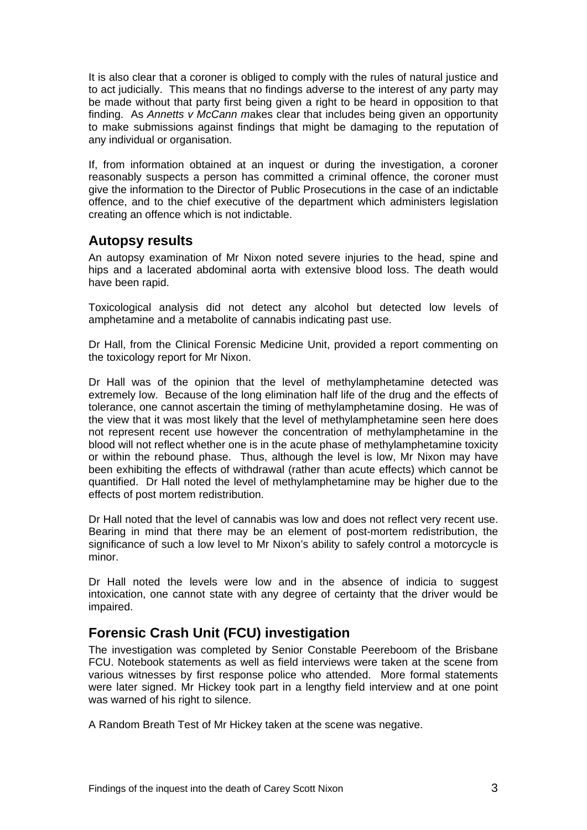It is also clear that a coroner is obliged to comply with the rules of natural justice and to act judicially. This means that no findings adverse to the interest of any party may be made without that party first being given a right to be heard in opposition to that finding. As *Annetts v McCann m*akes clear that includes being given an opportunity to make submissions against findings that might be damaging to the reputation of any individual or organisation.

If, from information obtained at an inquest or during the investigation, a coroner reasonably suspects a person has committed a criminal offence, the coroner must give the information to the Director of Public Prosecutions in the case of an indictable offence, and to the chief executive of the department which administers legislation creating an offence which is not indictable.

#### **Autopsy results**

An autopsy examination of Mr Nixon noted severe injuries to the head, spine and hips and a lacerated abdominal aorta with extensive blood loss. The death would have been rapid.

Toxicological analysis did not detect any alcohol but detected low levels of amphetamine and a metabolite of cannabis indicating past use.

Dr Hall, from the Clinical Forensic Medicine Unit, provided a report commenting on the toxicology report for Mr Nixon.

Dr Hall was of the opinion that the level of methylamphetamine detected was extremely low. Because of the long elimination half life of the drug and the effects of tolerance, one cannot ascertain the timing of methylamphetamine dosing. He was of the view that it was most likely that the level of methylamphetamine seen here does not represent recent use however the concentration of methylamphetamine in the blood will not reflect whether one is in the acute phase of methylamphetamine toxicity or within the rebound phase. Thus, although the level is low, Mr Nixon may have been exhibiting the effects of withdrawal (rather than acute effects) which cannot be quantified. Dr Hall noted the level of methylamphetamine may be higher due to the effects of post mortem redistribution.

Dr Hall noted that the level of cannabis was low and does not reflect very recent use. Bearing in mind that there may be an element of post-mortem redistribution, the significance of such a low level to Mr Nixon's ability to safely control a motorcycle is minor.

Dr Hall noted the levels were low and in the absence of indicia to suggest intoxication, one cannot state with any degree of certainty that the driver would be impaired.

# **Forensic Crash Unit (FCU) investigation**

The investigation was completed by Senior Constable Peereboom of the Brisbane FCU. Notebook statements as well as field interviews were taken at the scene from various witnesses by first response police who attended. More formal statements were later signed. Mr Hickey took part in a lengthy field interview and at one point was warned of his right to silence.

A Random Breath Test of Mr Hickey taken at the scene was negative.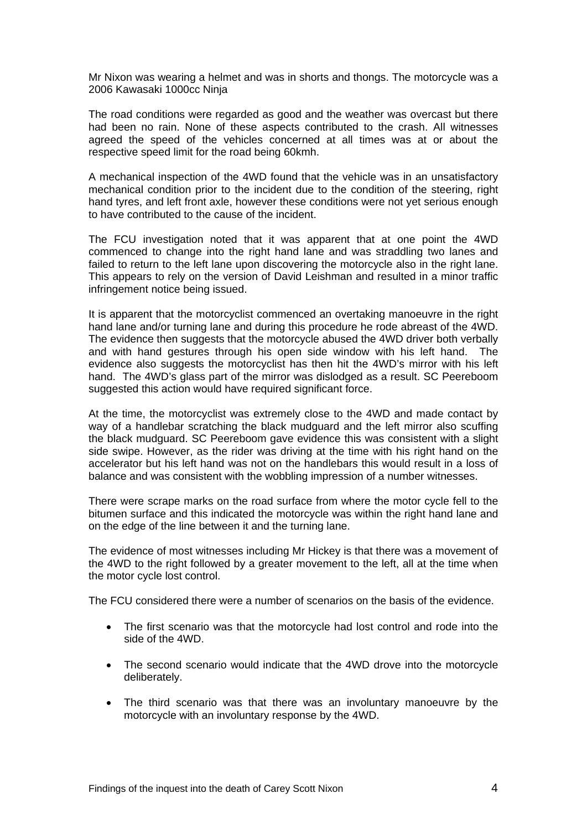Mr Nixon was wearing a helmet and was in shorts and thongs. The motorcycle was a 2006 Kawasaki 1000cc Ninja

The road conditions were regarded as good and the weather was overcast but there had been no rain. None of these aspects contributed to the crash. All witnesses agreed the speed of the vehicles concerned at all times was at or about the respective speed limit for the road being 60kmh.

A mechanical inspection of the 4WD found that the vehicle was in an unsatisfactory mechanical condition prior to the incident due to the condition of the steering, right hand tyres, and left front axle, however these conditions were not yet serious enough to have contributed to the cause of the incident.

The FCU investigation noted that it was apparent that at one point the 4WD commenced to change into the right hand lane and was straddling two lanes and failed to return to the left lane upon discovering the motorcycle also in the right lane. This appears to rely on the version of David Leishman and resulted in a minor traffic infringement notice being issued.

It is apparent that the motorcyclist commenced an overtaking manoeuvre in the right hand lane and/or turning lane and during this procedure he rode abreast of the 4WD. The evidence then suggests that the motorcycle abused the 4WD driver both verbally and with hand gestures through his open side window with his left hand. The evidence also suggests the motorcyclist has then hit the 4WD's mirror with his left hand. The 4WD's glass part of the mirror was dislodged as a result. SC Peereboom suggested this action would have required significant force.

At the time, the motorcyclist was extremely close to the 4WD and made contact by way of a handlebar scratching the black mudguard and the left mirror also scuffing the black mudguard. SC Peereboom gave evidence this was consistent with a slight side swipe. However, as the rider was driving at the time with his right hand on the accelerator but his left hand was not on the handlebars this would result in a loss of balance and was consistent with the wobbling impression of a number witnesses.

There were scrape marks on the road surface from where the motor cycle fell to the bitumen surface and this indicated the motorcycle was within the right hand lane and on the edge of the line between it and the turning lane.

The evidence of most witnesses including Mr Hickey is that there was a movement of the 4WD to the right followed by a greater movement to the left, all at the time when the motor cycle lost control.

The FCU considered there were a number of scenarios on the basis of the evidence.

- The first scenario was that the motorcycle had lost control and rode into the side of the 4WD.
- The second scenario would indicate that the 4WD drove into the motorcycle deliberately.
- The third scenario was that there was an involuntary manoeuvre by the motorcycle with an involuntary response by the 4WD.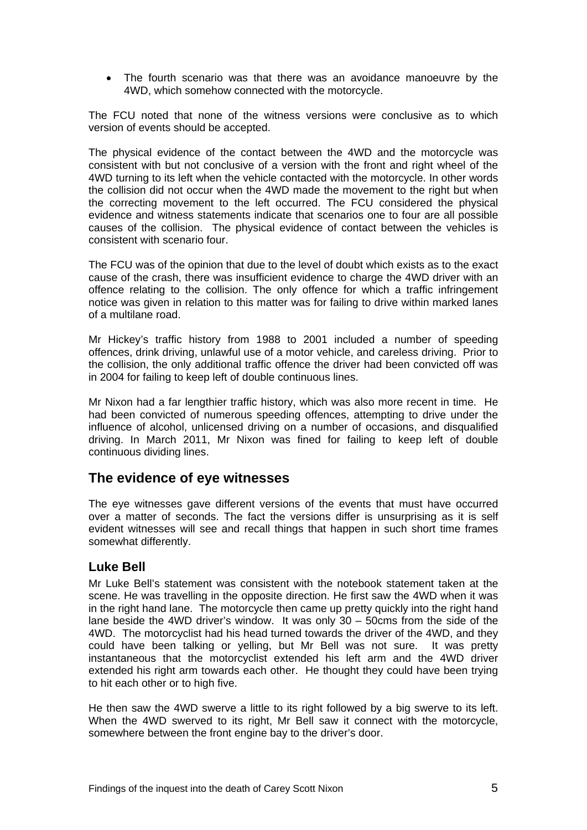The fourth scenario was that there was an avoidance manoeuvre by the 4WD, which somehow connected with the motorcycle.

The FCU noted that none of the witness versions were conclusive as to which version of events should be accepted.

The physical evidence of the contact between the 4WD and the motorcycle was consistent with but not conclusive of a version with the front and right wheel of the 4WD turning to its left when the vehicle contacted with the motorcycle. In other words the collision did not occur when the 4WD made the movement to the right but when the correcting movement to the left occurred. The FCU considered the physical evidence and witness statements indicate that scenarios one to four are all possible causes of the collision. The physical evidence of contact between the vehicles is consistent with scenario four.

The FCU was of the opinion that due to the level of doubt which exists as to the exact cause of the crash, there was insufficient evidence to charge the 4WD driver with an offence relating to the collision. The only offence for which a traffic infringement notice was given in relation to this matter was for failing to drive within marked lanes of a multilane road.

Mr Hickey's traffic history from 1988 to 2001 included a number of speeding offences, drink driving, unlawful use of a motor vehicle, and careless driving. Prior to the collision, the only additional traffic offence the driver had been convicted off was in 2004 for failing to keep left of double continuous lines.

Mr Nixon had a far lengthier traffic history, which was also more recent in time. He had been convicted of numerous speeding offences, attempting to drive under the influence of alcohol, unlicensed driving on a number of occasions, and disqualified driving. In March 2011, Mr Nixon was fined for failing to keep left of double continuous dividing lines.

### **The evidence of eye witnesses**

The eye witnesses gave different versions of the events that must have occurred over a matter of seconds. The fact the versions differ is unsurprising as it is self evident witnesses will see and recall things that happen in such short time frames somewhat differently.

#### **Luke Bell**

Mr Luke Bell's statement was consistent with the notebook statement taken at the scene. He was travelling in the opposite direction. He first saw the 4WD when it was in the right hand lane. The motorcycle then came up pretty quickly into the right hand lane beside the 4WD driver's window. It was only 30 – 50cms from the side of the 4WD. The motorcyclist had his head turned towards the driver of the 4WD, and they could have been talking or yelling, but Mr Bell was not sure. It was pretty instantaneous that the motorcyclist extended his left arm and the 4WD driver extended his right arm towards each other. He thought they could have been trying to hit each other or to high five.

He then saw the 4WD swerve a little to its right followed by a big swerve to its left. When the 4WD swerved to its right, Mr Bell saw it connect with the motorcycle, somewhere between the front engine bay to the driver's door.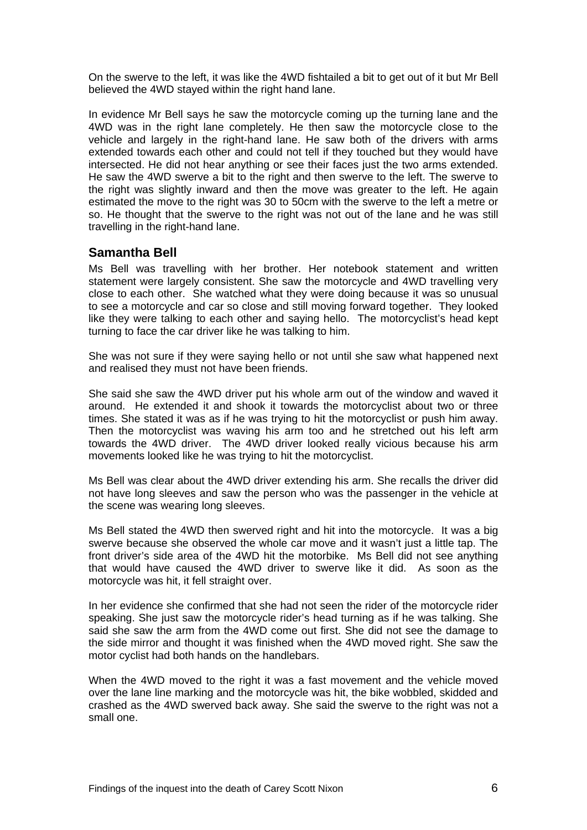On the swerve to the left, it was like the 4WD fishtailed a bit to get out of it but Mr Bell believed the 4WD stayed within the right hand lane.

In evidence Mr Bell says he saw the motorcycle coming up the turning lane and the 4WD was in the right lane completely. He then saw the motorcycle close to the vehicle and largely in the right-hand lane. He saw both of the drivers with arms extended towards each other and could not tell if they touched but they would have intersected. He did not hear anything or see their faces just the two arms extended. He saw the 4WD swerve a bit to the right and then swerve to the left. The swerve to the right was slightly inward and then the move was greater to the left. He again estimated the move to the right was 30 to 50cm with the swerve to the left a metre or so. He thought that the swerve to the right was not out of the lane and he was still travelling in the right-hand lane.

#### **Samantha Bell**

Ms Bell was travelling with her brother. Her notebook statement and written statement were largely consistent. She saw the motorcycle and 4WD travelling very close to each other. She watched what they were doing because it was so unusual to see a motorcycle and car so close and still moving forward together. They looked like they were talking to each other and saying hello. The motorcyclist's head kept turning to face the car driver like he was talking to him.

She was not sure if they were saying hello or not until she saw what happened next and realised they must not have been friends.

She said she saw the 4WD driver put his whole arm out of the window and waved it around. He extended it and shook it towards the motorcyclist about two or three times. She stated it was as if he was trying to hit the motorcyclist or push him away. Then the motorcyclist was waving his arm too and he stretched out his left arm towards the 4WD driver. The 4WD driver looked really vicious because his arm movements looked like he was trying to hit the motorcyclist.

Ms Bell was clear about the 4WD driver extending his arm. She recalls the driver did not have long sleeves and saw the person who was the passenger in the vehicle at the scene was wearing long sleeves.

Ms Bell stated the 4WD then swerved right and hit into the motorcycle. It was a big swerve because she observed the whole car move and it wasn't just a little tap. The front driver's side area of the 4WD hit the motorbike. Ms Bell did not see anything that would have caused the 4WD driver to swerve like it did. As soon as the motorcycle was hit, it fell straight over.

In her evidence she confirmed that she had not seen the rider of the motorcycle rider speaking. She just saw the motorcycle rider's head turning as if he was talking. She said she saw the arm from the 4WD come out first. She did not see the damage to the side mirror and thought it was finished when the 4WD moved right. She saw the motor cyclist had both hands on the handlebars.

When the 4WD moved to the right it was a fast movement and the vehicle moved over the lane line marking and the motorcycle was hit, the bike wobbled, skidded and crashed as the 4WD swerved back away. She said the swerve to the right was not a small one.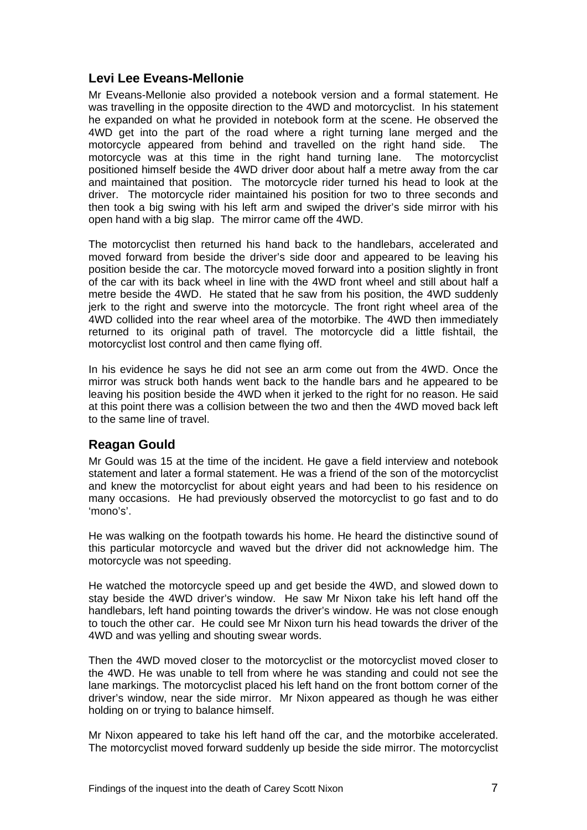#### **Levi Lee Eveans-Mellonie**

Mr Eveans-Mellonie also provided a notebook version and a formal statement. He was travelling in the opposite direction to the 4WD and motorcyclist. In his statement he expanded on what he provided in notebook form at the scene. He observed the 4WD get into the part of the road where a right turning lane merged and the motorcycle appeared from behind and travelled on the right hand side. The motorcycle was at this time in the right hand turning lane. The motorcyclist positioned himself beside the 4WD driver door about half a metre away from the car and maintained that position. The motorcycle rider turned his head to look at the driver. The motorcycle rider maintained his position for two to three seconds and then took a big swing with his left arm and swiped the driver's side mirror with his open hand with a big slap. The mirror came off the 4WD.

The motorcyclist then returned his hand back to the handlebars, accelerated and moved forward from beside the driver's side door and appeared to be leaving his position beside the car. The motorcycle moved forward into a position slightly in front of the car with its back wheel in line with the 4WD front wheel and still about half a metre beside the 4WD. He stated that he saw from his position, the 4WD suddenly jerk to the right and swerve into the motorcycle. The front right wheel area of the 4WD collided into the rear wheel area of the motorbike. The 4WD then immediately returned to its original path of travel. The motorcycle did a little fishtail, the motorcyclist lost control and then came flying off.

In his evidence he says he did not see an arm come out from the 4WD. Once the mirror was struck both hands went back to the handle bars and he appeared to be leaving his position beside the 4WD when it jerked to the right for no reason. He said at this point there was a collision between the two and then the 4WD moved back left to the same line of travel.

#### **Reagan Gould**

Mr Gould was 15 at the time of the incident. He gave a field interview and notebook statement and later a formal statement. He was a friend of the son of the motorcyclist and knew the motorcyclist for about eight years and had been to his residence on many occasions. He had previously observed the motorcyclist to go fast and to do 'mono's'.

He was walking on the footpath towards his home. He heard the distinctive sound of this particular motorcycle and waved but the driver did not acknowledge him. The motorcycle was not speeding.

He watched the motorcycle speed up and get beside the 4WD, and slowed down to stay beside the 4WD driver's window. He saw Mr Nixon take his left hand off the handlebars, left hand pointing towards the driver's window. He was not close enough to touch the other car. He could see Mr Nixon turn his head towards the driver of the 4WD and was yelling and shouting swear words.

Then the 4WD moved closer to the motorcyclist or the motorcyclist moved closer to the 4WD. He was unable to tell from where he was standing and could not see the lane markings. The motorcyclist placed his left hand on the front bottom corner of the driver's window, near the side mirror. Mr Nixon appeared as though he was either holding on or trying to balance himself.

Mr Nixon appeared to take his left hand off the car, and the motorbike accelerated. The motorcyclist moved forward suddenly up beside the side mirror. The motorcyclist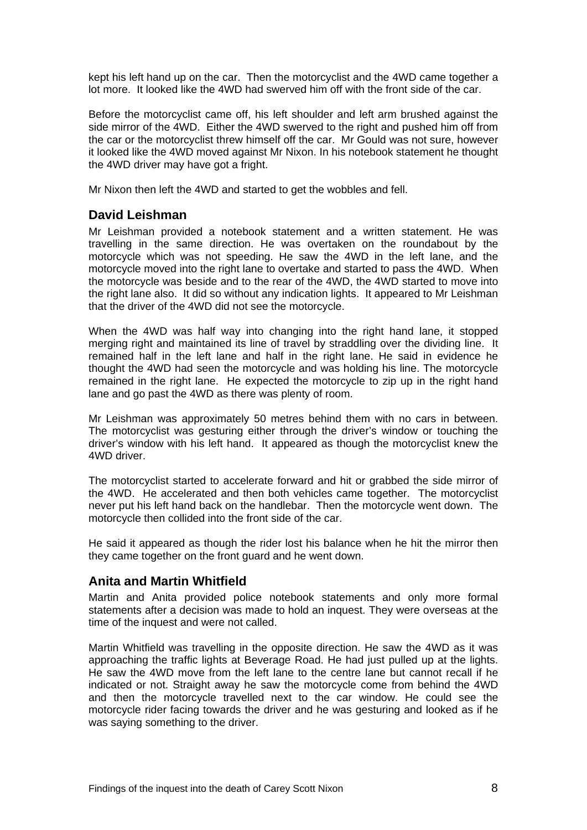kept his left hand up on the car. Then the motorcyclist and the 4WD came together a lot more. It looked like the 4WD had swerved him off with the front side of the car.

Before the motorcyclist came off, his left shoulder and left arm brushed against the side mirror of the 4WD. Either the 4WD swerved to the right and pushed him off from the car or the motorcyclist threw himself off the car. Mr Gould was not sure, however it looked like the 4WD moved against Mr Nixon. In his notebook statement he thought the 4WD driver may have got a fright.

Mr Nixon then left the 4WD and started to get the wobbles and fell.

#### **David Leishman**

Mr Leishman provided a notebook statement and a written statement. He was travelling in the same direction. He was overtaken on the roundabout by the motorcycle which was not speeding. He saw the 4WD in the left lane, and the motorcycle moved into the right lane to overtake and started to pass the 4WD. When the motorcycle was beside and to the rear of the 4WD, the 4WD started to move into the right lane also. It did so without any indication lights. It appeared to Mr Leishman that the driver of the 4WD did not see the motorcycle.

When the 4WD was half way into changing into the right hand lane, it stopped merging right and maintained its line of travel by straddling over the dividing line. It remained half in the left lane and half in the right lane. He said in evidence he thought the 4WD had seen the motorcycle and was holding his line. The motorcycle remained in the right lane. He expected the motorcycle to zip up in the right hand lane and go past the 4WD as there was plenty of room.

Mr Leishman was approximately 50 metres behind them with no cars in between. The motorcyclist was gesturing either through the driver's window or touching the driver's window with his left hand. It appeared as though the motorcyclist knew the 4WD driver.

The motorcyclist started to accelerate forward and hit or grabbed the side mirror of the 4WD. He accelerated and then both vehicles came together. The motorcyclist never put his left hand back on the handlebar. Then the motorcycle went down. The motorcycle then collided into the front side of the car.

He said it appeared as though the rider lost his balance when he hit the mirror then they came together on the front guard and he went down.

#### **Anita and Martin Whitfield**

Martin and Anita provided police notebook statements and only more formal statements after a decision was made to hold an inquest. They were overseas at the time of the inquest and were not called.

Martin Whitfield was travelling in the opposite direction. He saw the 4WD as it was approaching the traffic lights at Beverage Road. He had just pulled up at the lights. He saw the 4WD move from the left lane to the centre lane but cannot recall if he indicated or not. Straight away he saw the motorcycle come from behind the 4WD and then the motorcycle travelled next to the car window. He could see the motorcycle rider facing towards the driver and he was gesturing and looked as if he was saying something to the driver.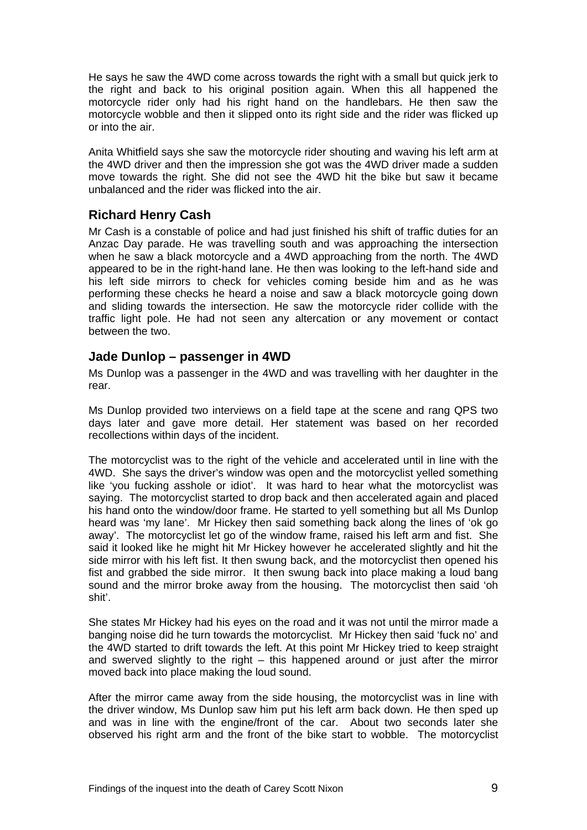He says he saw the 4WD come across towards the right with a small but quick jerk to the right and back to his original position again. When this all happened the motorcycle rider only had his right hand on the handlebars. He then saw the motorcycle wobble and then it slipped onto its right side and the rider was flicked up or into the air.

Anita Whitfield says she saw the motorcycle rider shouting and waving his left arm at the 4WD driver and then the impression she got was the 4WD driver made a sudden move towards the right. She did not see the 4WD hit the bike but saw it became unbalanced and the rider was flicked into the air.

#### **Richard Henry Cash**

Mr Cash is a constable of police and had just finished his shift of traffic duties for an Anzac Day parade. He was travelling south and was approaching the intersection when he saw a black motorcycle and a 4WD approaching from the north. The 4WD appeared to be in the right-hand lane. He then was looking to the left-hand side and his left side mirrors to check for vehicles coming beside him and as he was performing these checks he heard a noise and saw a black motorcycle going down and sliding towards the intersection. He saw the motorcycle rider collide with the traffic light pole. He had not seen any altercation or any movement or contact between the two.

#### **Jade Dunlop – passenger in 4WD**

Ms Dunlop was a passenger in the 4WD and was travelling with her daughter in the rear.

Ms Dunlop provided two interviews on a field tape at the scene and rang QPS two days later and gave more detail. Her statement was based on her recorded recollections within days of the incident.

The motorcyclist was to the right of the vehicle and accelerated until in line with the 4WD. She says the driver's window was open and the motorcyclist yelled something like 'you fucking asshole or idiot'. It was hard to hear what the motorcyclist was saying. The motorcyclist started to drop back and then accelerated again and placed his hand onto the window/door frame. He started to yell something but all Ms Dunlop heard was 'my lane'. Mr Hickey then said something back along the lines of 'ok go away'. The motorcyclist let go of the window frame, raised his left arm and fist. She said it looked like he might hit Mr Hickey however he accelerated slightly and hit the side mirror with his left fist. It then swung back, and the motorcyclist then opened his fist and grabbed the side mirror. It then swung back into place making a loud bang sound and the mirror broke away from the housing. The motorcyclist then said 'oh shit'.

She states Mr Hickey had his eyes on the road and it was not until the mirror made a banging noise did he turn towards the motorcyclist. Mr Hickey then said 'fuck no' and the 4WD started to drift towards the left. At this point Mr Hickey tried to keep straight and swerved slightly to the right – this happened around or just after the mirror moved back into place making the loud sound.

After the mirror came away from the side housing, the motorcyclist was in line with the driver window, Ms Dunlop saw him put his left arm back down. He then sped up and was in line with the engine/front of the car. About two seconds later she observed his right arm and the front of the bike start to wobble. The motorcyclist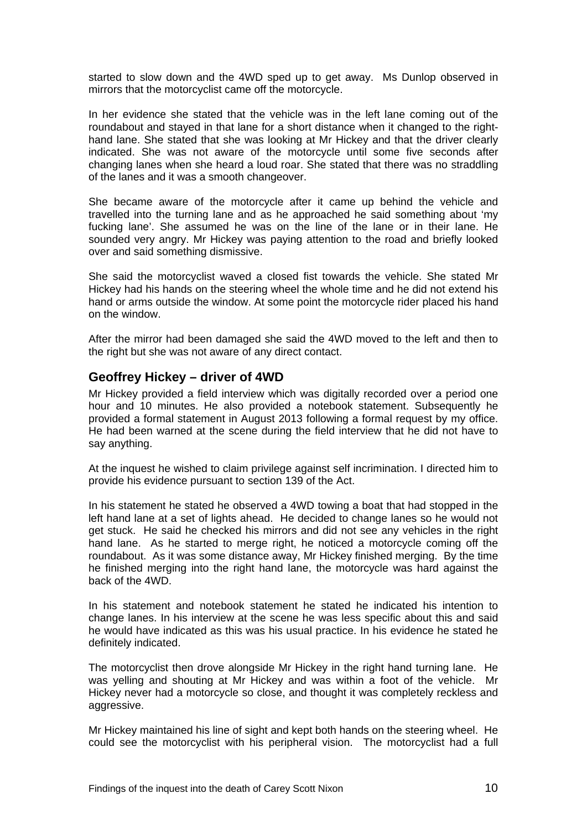started to slow down and the 4WD sped up to get away. Ms Dunlop observed in mirrors that the motorcyclist came off the motorcycle.

In her evidence she stated that the vehicle was in the left lane coming out of the roundabout and stayed in that lane for a short distance when it changed to the righthand lane. She stated that she was looking at Mr Hickey and that the driver clearly indicated. She was not aware of the motorcycle until some five seconds after changing lanes when she heard a loud roar. She stated that there was no straddling of the lanes and it was a smooth changeover.

She became aware of the motorcycle after it came up behind the vehicle and travelled into the turning lane and as he approached he said something about 'my fucking lane'. She assumed he was on the line of the lane or in their lane. He sounded very angry. Mr Hickey was paying attention to the road and briefly looked over and said something dismissive.

She said the motorcyclist waved a closed fist towards the vehicle. She stated Mr Hickey had his hands on the steering wheel the whole time and he did not extend his hand or arms outside the window. At some point the motorcycle rider placed his hand on the window.

After the mirror had been damaged she said the 4WD moved to the left and then to the right but she was not aware of any direct contact.

#### **Geoffrey Hickey – driver of 4WD**

Mr Hickey provided a field interview which was digitally recorded over a period one hour and 10 minutes. He also provided a notebook statement. Subsequently he provided a formal statement in August 2013 following a formal request by my office. He had been warned at the scene during the field interview that he did not have to say anything.

At the inquest he wished to claim privilege against self incrimination. I directed him to provide his evidence pursuant to section 139 of the Act.

In his statement he stated he observed a 4WD towing a boat that had stopped in the left hand lane at a set of lights ahead. He decided to change lanes so he would not get stuck. He said he checked his mirrors and did not see any vehicles in the right hand lane. As he started to merge right, he noticed a motorcycle coming off the roundabout. As it was some distance away, Mr Hickey finished merging. By the time he finished merging into the right hand lane, the motorcycle was hard against the back of the 4WD.

In his statement and notebook statement he stated he indicated his intention to change lanes. In his interview at the scene he was less specific about this and said he would have indicated as this was his usual practice. In his evidence he stated he definitely indicated.

The motorcyclist then drove alongside Mr Hickey in the right hand turning lane. He was yelling and shouting at Mr Hickey and was within a foot of the vehicle. Mr Hickey never had a motorcycle so close, and thought it was completely reckless and aggressive.

Mr Hickey maintained his line of sight and kept both hands on the steering wheel. He could see the motorcyclist with his peripheral vision. The motorcyclist had a full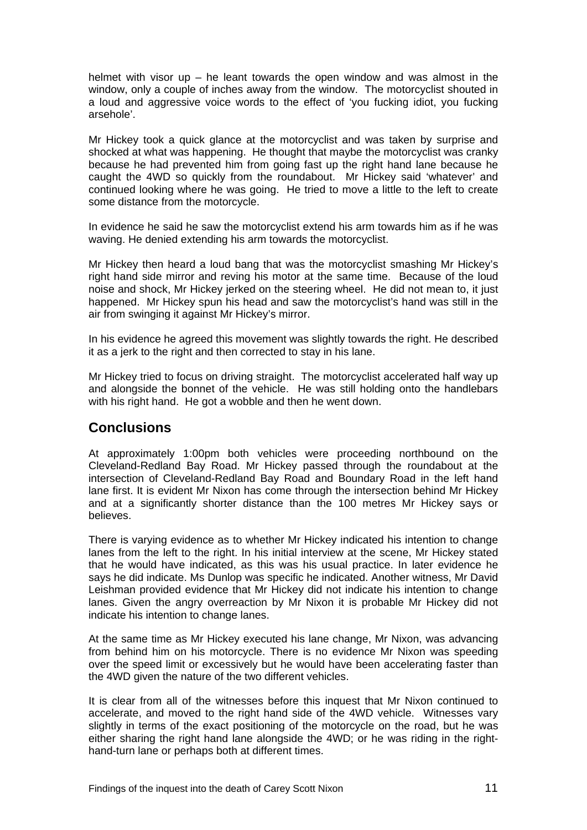helmet with visor up – he leant towards the open window and was almost in the window, only a couple of inches away from the window. The motorcyclist shouted in a loud and aggressive voice words to the effect of 'you fucking idiot, you fucking arsehole'.

Mr Hickey took a quick glance at the motorcyclist and was taken by surprise and shocked at what was happening. He thought that maybe the motorcyclist was cranky because he had prevented him from going fast up the right hand lane because he caught the 4WD so quickly from the roundabout. Mr Hickey said 'whatever' and continued looking where he was going. He tried to move a little to the left to create some distance from the motorcycle.

In evidence he said he saw the motorcyclist extend his arm towards him as if he was waving. He denied extending his arm towards the motorcyclist.

Mr Hickey then heard a loud bang that was the motorcyclist smashing Mr Hickey's right hand side mirror and reving his motor at the same time. Because of the loud noise and shock, Mr Hickey jerked on the steering wheel. He did not mean to, it just happened. Mr Hickey spun his head and saw the motorcyclist's hand was still in the air from swinging it against Mr Hickey's mirror.

In his evidence he agreed this movement was slightly towards the right. He described it as a jerk to the right and then corrected to stay in his lane.

Mr Hickey tried to focus on driving straight. The motorcyclist accelerated half way up and alongside the bonnet of the vehicle. He was still holding onto the handlebars with his right hand. He got a wobble and then he went down.

#### **Conclusions**

At approximately 1:00pm both vehicles were proceeding northbound on the Cleveland-Redland Bay Road. Mr Hickey passed through the roundabout at the intersection of Cleveland-Redland Bay Road and Boundary Road in the left hand lane first. It is evident Mr Nixon has come through the intersection behind Mr Hickey and at a significantly shorter distance than the 100 metres Mr Hickey says or believes.

There is varying evidence as to whether Mr Hickey indicated his intention to change lanes from the left to the right. In his initial interview at the scene, Mr Hickey stated that he would have indicated, as this was his usual practice. In later evidence he says he did indicate. Ms Dunlop was specific he indicated. Another witness, Mr David Leishman provided evidence that Mr Hickey did not indicate his intention to change lanes. Given the angry overreaction by Mr Nixon it is probable Mr Hickey did not indicate his intention to change lanes.

At the same time as Mr Hickey executed his lane change, Mr Nixon, was advancing from behind him on his motorcycle. There is no evidence Mr Nixon was speeding over the speed limit or excessively but he would have been accelerating faster than the 4WD given the nature of the two different vehicles.

It is clear from all of the witnesses before this inquest that Mr Nixon continued to accelerate, and moved to the right hand side of the 4WD vehicle. Witnesses vary slightly in terms of the exact positioning of the motorcycle on the road, but he was either sharing the right hand lane alongside the 4WD; or he was riding in the righthand-turn lane or perhaps both at different times.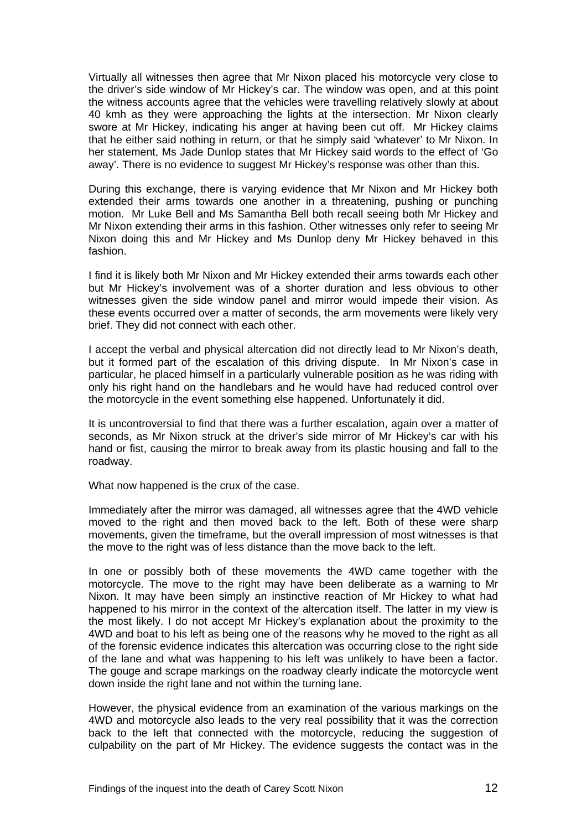Virtually all witnesses then agree that Mr Nixon placed his motorcycle very close to the driver's side window of Mr Hickey's car. The window was open, and at this point the witness accounts agree that the vehicles were travelling relatively slowly at about 40 kmh as they were approaching the lights at the intersection. Mr Nixon clearly swore at Mr Hickey, indicating his anger at having been cut off. Mr Hickey claims that he either said nothing in return, or that he simply said 'whatever' to Mr Nixon. In her statement, Ms Jade Dunlop states that Mr Hickey said words to the effect of 'Go away'. There is no evidence to suggest Mr Hickey's response was other than this.

During this exchange, there is varying evidence that Mr Nixon and Mr Hickey both extended their arms towards one another in a threatening, pushing or punching motion. Mr Luke Bell and Ms Samantha Bell both recall seeing both Mr Hickey and Mr Nixon extending their arms in this fashion. Other witnesses only refer to seeing Mr Nixon doing this and Mr Hickey and Ms Dunlop deny Mr Hickey behaved in this fashion.

I find it is likely both Mr Nixon and Mr Hickey extended their arms towards each other but Mr Hickey's involvement was of a shorter duration and less obvious to other witnesses given the side window panel and mirror would impede their vision. As these events occurred over a matter of seconds, the arm movements were likely very brief. They did not connect with each other.

I accept the verbal and physical altercation did not directly lead to Mr Nixon's death, but it formed part of the escalation of this driving dispute. In Mr Nixon's case in particular, he placed himself in a particularly vulnerable position as he was riding with only his right hand on the handlebars and he would have had reduced control over the motorcycle in the event something else happened. Unfortunately it did.

It is uncontroversial to find that there was a further escalation, again over a matter of seconds, as Mr Nixon struck at the driver's side mirror of Mr Hickey's car with his hand or fist, causing the mirror to break away from its plastic housing and fall to the roadway.

What now happened is the crux of the case.

Immediately after the mirror was damaged, all witnesses agree that the 4WD vehicle moved to the right and then moved back to the left. Both of these were sharp movements, given the timeframe, but the overall impression of most witnesses is that the move to the right was of less distance than the move back to the left.

In one or possibly both of these movements the 4WD came together with the motorcycle. The move to the right may have been deliberate as a warning to Mr Nixon. It may have been simply an instinctive reaction of Mr Hickey to what had happened to his mirror in the context of the altercation itself. The latter in my view is the most likely. I do not accept Mr Hickey's explanation about the proximity to the 4WD and boat to his left as being one of the reasons why he moved to the right as all of the forensic evidence indicates this altercation was occurring close to the right side of the lane and what was happening to his left was unlikely to have been a factor. The gouge and scrape markings on the roadway clearly indicate the motorcycle went down inside the right lane and not within the turning lane.

However, the physical evidence from an examination of the various markings on the 4WD and motorcycle also leads to the very real possibility that it was the correction back to the left that connected with the motorcycle, reducing the suggestion of culpability on the part of Mr Hickey. The evidence suggests the contact was in the